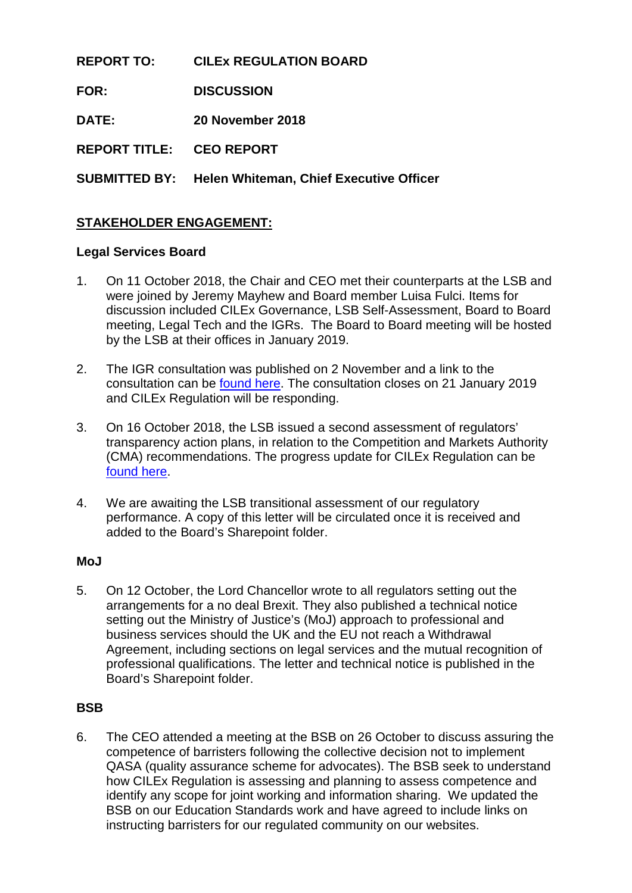**REPORT TO: CILEx REGULATION BOARD FOR: DISCUSSION DATE: 20 November 2018 REPORT TITLE: CEO REPORT SUBMITTED BY: Helen Whiteman, Chief Executive Officer**

# **STAKEHOLDER ENGAGEMENT:**

## **Legal Services Board**

- 1. On 11 October 2018, the Chair and CEO met their counterparts at the LSB and were joined by Jeremy Mayhew and Board member Luisa Fulci. Items for discussion included CILEx Governance, LSB Self-Assessment, Board to Board meeting, Legal Tech and the IGRs. The Board to Board meeting will be hosted by the LSB at their offices in January 2019.
- 2. The IGR consultation was published on 2 November and a link to the consultation can be [found here.](https://www.legalservicesboard.org.uk/what_we_do/consultations/open/pdf/2018/LSB_consultation_Proposed_Internal_Governance_Rules_Nov_2018.pdf) The consultation closes on 21 January 2019 and CILEx Regulation will be responding.
- 3. On 16 October 2018, the LSB issued a second assessment of regulators' transparency action plans, in relation to the Competition and Markets Authority (CMA) recommendations. The progress update for CILEx Regulation can be [found here.](https://www.legalservicesboard.org.uk/Projects/pdf/2018/CILEX%20Reg_Progress_Report.pdf)
- 4. We are awaiting the LSB transitional assessment of our regulatory performance. A copy of this letter will be circulated once it is received and added to the Board's Sharepoint folder.

#### **MoJ**

5. On 12 October, the Lord Chancellor wrote to all regulators setting out the arrangements for a no deal Brexit. They also published a technical notice setting out the Ministry of Justice's (MoJ) approach to professional and business services should the UK and the EU not reach a Withdrawal Agreement, including sections on legal services and the mutual recognition of professional qualifications. The letter and technical notice is published in the Board's Sharepoint folder.

## **BSB**

6. The CEO attended a meeting at the BSB on 26 October to discuss assuring the competence of barristers following the collective decision not to implement QASA (quality assurance scheme for advocates). The BSB seek to understand how CILEx Regulation is assessing and planning to assess competence and identify any scope for joint working and information sharing. We updated the BSB on our Education Standards work and have agreed to include links on instructing barristers for our regulated community on our websites.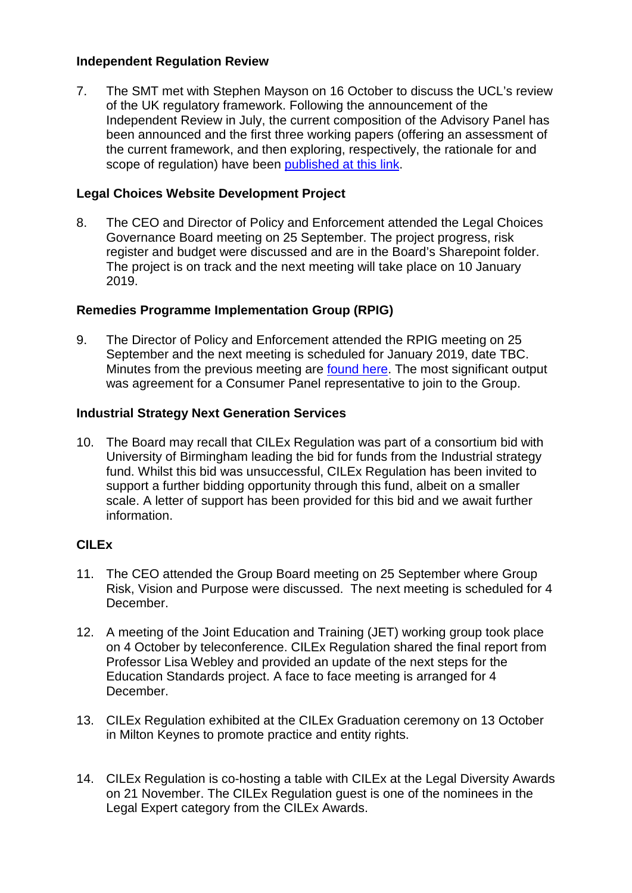## **Independent Regulation Review**

7. The SMT met with Stephen Mayson on 16 October to discuss the UCL's review of the UK regulatory framework. Following the announcement of the Independent Review in July, the current composition of the Advisory Panel has been announced and the first three working papers (offering an assessment of the current framework, and then exploring, respectively, the rationale for and scope of regulation) have been published [at this link.](https://www.ucl.ac.uk/ethics-law/publications/2018/sep/independent-review-legal-services-regulation)

## **Legal Choices Website Development Project**

8. The CEO and Director of Policy and Enforcement attended the Legal Choices Governance Board meeting on 25 September. The project progress, risk register and budget were discussed and are in the Board's Sharepoint folder. The project is on track and the next meeting will take place on 10 January 2019.

## **Remedies Programme Implementation Group (RPIG)**

9. The Director of Policy and Enforcement attended the RPIG meeting on 25 September and the next meeting is scheduled for January 2019, date TBC. Minutes from the previous meeting are [found here.](https://www.gov.uk/government/publications/legal-services-remedies-programme-implementation-group-minutes-2018) The most significant output was agreement for a Consumer Panel representative to join to the Group.

#### **Industrial Strategy Next Generation Services**

10. The Board may recall that CILEx Regulation was part of a consortium bid with University of Birmingham leading the bid for funds from the Industrial strategy fund. Whilst this bid was unsuccessful, CILEx Regulation has been invited to support a further bidding opportunity through this fund, albeit on a smaller scale. A letter of support has been provided for this bid and we await further information.

#### **CILEx**

- 11. The CEO attended the Group Board meeting on 25 September where Group Risk, Vision and Purpose were discussed. The next meeting is scheduled for 4 December.
- 12. A meeting of the Joint Education and Training (JET) working group took place on 4 October by teleconference. CILEx Regulation shared the final report from Professor Lisa Webley and provided an update of the next steps for the Education Standards project. A face to face meeting is arranged for 4 December.
- 13. CILEx Regulation exhibited at the CILEx Graduation ceremony on 13 October in Milton Keynes to promote practice and entity rights.
- 14. CILEx Regulation is co-hosting a table with CILEx at the Legal Diversity Awards on 21 November. The CILEx Regulation guest is one of the nominees in the Legal Expert category from the CILEx Awards.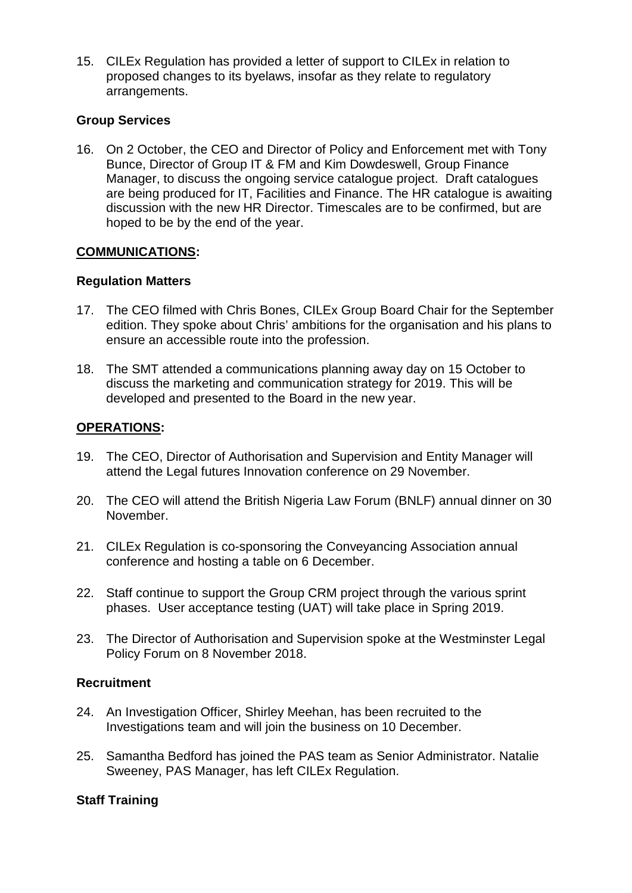15. CILEx Regulation has provided a letter of support to CILEx in relation to proposed changes to its byelaws, insofar as they relate to regulatory arrangements.

#### **Group Services**

16. On 2 October, the CEO and Director of Policy and Enforcement met with Tony Bunce, Director of Group IT & FM and Kim Dowdeswell, Group Finance Manager, to discuss the ongoing service catalogue project. Draft catalogues are being produced for IT, Facilities and Finance. The HR catalogue is awaiting discussion with the new HR Director. Timescales are to be confirmed, but are hoped to be by the end of the year.

## **COMMUNICATIONS:**

#### **Regulation Matters**

- 17. The CEO filmed with Chris Bones, CILEx Group Board Chair for the September edition. They spoke about Chris' ambitions for the organisation and his plans to ensure an accessible route into the profession.
- 18. The SMT attended a communications planning away day on 15 October to discuss the marketing and communication strategy for 2019. This will be developed and presented to the Board in the new year.

## **OPERATIONS:**

- 19. The CEO, Director of Authorisation and Supervision and Entity Manager will attend the Legal futures Innovation conference on 29 November.
- 20. The CEO will attend the British Nigeria Law Forum (BNLF) annual dinner on 30 November.
- 21. CILEx Regulation is co-sponsoring the Conveyancing Association annual conference and hosting a table on 6 December.
- 22. Staff continue to support the Group CRM project through the various sprint phases. User acceptance testing (UAT) will take place in Spring 2019.
- 23. The Director of Authorisation and Supervision spoke at the Westminster Legal Policy Forum on 8 November 2018.

#### **Recruitment**

- 24. An Investigation Officer, Shirley Meehan, has been recruited to the Investigations team and will join the business on 10 December.
- 25. Samantha Bedford has joined the PAS team as Senior Administrator. Natalie Sweeney, PAS Manager, has left CILEx Regulation.

#### **Staff Training**